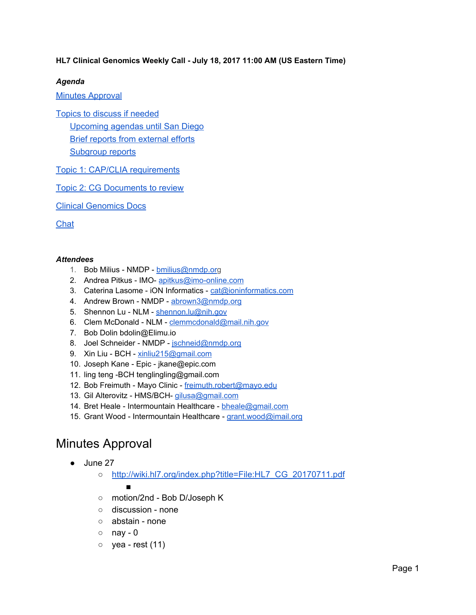### **HL7 Clinical Genomics Weekly Call - July 18, 2017 11:00 AM (US Eastern Time)**

### *Agenda*

Minutes [Approval](#page-0-0)

Topics to discuss if [needed](#page-1-3)

[Upcoming](#page-1-2) agendas until San Diego Brief reports from [external](#page-1-0) efforts [Subgroup](#page-1-1) reports

Topic 1: CAP/CLIA [requirements](#page-2-0)

Topic 2: CG [Documents](#page-8-2) to review

Clinical [Genomics](#page-8-1) Docs

**[Chat](#page-8-0)** 

#### *Attendees*

- 1. Bob Milius NMDP [bmilius@nmdp.org](mailto:bmilius@nmdp.org)
- 2. Andrea Pitkus IMO- [apitkus@imo-online.com](mailto:apitkus@imo-online.com)
- 3. Caterina Lasome iON Informatics [cat@ioninformatics.com](mailto:cat@ioninformatics.com)
- 4. Andrew Brown NMDP [abrown3@nmdp.org](mailto:abrown3@nmdp.org)
- 5. Shennon Lu NLM [shennon.lu@nih.gov](mailto:shennon.lu@nih.gov)
- 6. Clem McDonald NLM [clemmcdonald@mail.nih.gov](mailto:clemmcdonald@mail.nih.gov)
- 7. Bob Dolin bdolin@Elimu.io
- 8. Joel Schneider NMDP [jschneid@nmdp.org](mailto:jschneid@nmdp.org)
- 9. Xin Liu BCH [xinliu215@gmail.com](mailto:xinliu215@gmail.com)
- 10. Joseph Kane Epic jkane@epic.com
- 11. ling teng -BCH tenglingling@gmail.com
- 12. Bob Freimuth Mayo Clinic [freimuth.robert@mayo.edu](mailto:freimuth.robert@mayo.edu)
- 13. Gil Alterovitz HMS/BCH- [gilusa@gmail.com](mailto:gilusa@gmail.com)
- 14. Bret Heale Intermountain Healthcare [bheale@gmail.com](mailto:bheale@gmail.com)
- 15. Grant Wood Intermountain Healthcare [grant.wood@imail.org](mailto:grant.wood@imail.org)

## <span id="page-0-0"></span>Minutes Approval

- June 27
	- [http://wiki.hl7.org/index.php?title=File:HL7\\_CG\\_20170711.pdf](http://wiki.hl7.org/index.php?title=File:HL7_CG_20170711.pdf)

### ■

- motion/2nd Bob D/Joseph K
- discussion none
- abstain none
- $\circ$  nay 0
- $\circ$  yea rest (11)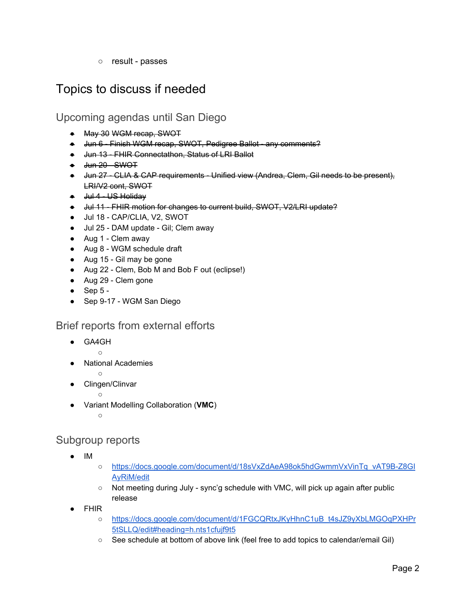○ result - passes

# <span id="page-1-3"></span>Topics to discuss if needed

<span id="page-1-2"></span>Upcoming agendas until San Diego

- May 30 WGM recap, SWOT
- Jun 6 Finish WGM recap, SWOT, Pedigree Ballot any comments?
- Jun 13 FHIR Connectathon, Status of LRI Ballot
- <del>Jun 20 SWOT</del>
- Jun 27 CLIA & CAP requirements Unified view (Andrea, Clem, Gil needs to be present), LRI/V2 cont, SWOT
- Jul 4 US Holiday
- Jul 11 FHIR motion for changes to current build, SWOT, V2/LRI update?
- Jul 18 CAP/CLIA, V2, SWOT
- Jul 25 DAM update Gil; Clem away
- Aug 1 Clem away
- Aug 8 WGM schedule draft
- Aug 15 Gil may be gone
- Aug 22 Clem, Bob M and Bob F out (eclipse!)
- Aug 29 Clem gone
- $\bullet$  Sep 5 -
- Sep 9-17 WGM San Diego

### <span id="page-1-0"></span>Brief reports from external efforts

GA4GH

 $\circ$ 

- **National Academies**  $\circ$ 
	-
	- Clingen/Clinvar  $\circ$
- Variant Modelling Collaboration (**VMC**)

 $\circ$ 

### <span id="page-1-1"></span>Subgroup reports

- IM
- [https://docs.google.com/document/d/18sVxZdAeA98ok5hdGwmmVxVinTq\\_vAT9B-Z8GI](https://docs.google.com/document/d/18sVxZdAeA98ok5hdGwmmVxVinTq_vAT9B-Z8GIAyRiM/edit) [AyRiM/edit](https://docs.google.com/document/d/18sVxZdAeA98ok5hdGwmmVxVinTq_vAT9B-Z8GIAyRiM/edit)
- $\circ$  Not meeting during July sync'g schedule with VMC, will pick up again after public release
- **FHIR** 
	- [https://docs.google.com/document/d/1FGCQRtxJKyHhnC1uB\\_t4sJZ9yXbLMGOqPXHPr](https://docs.google.com/document/d/1FGCQRtxJKyHhnC1uB_t4sJZ9yXbLMGOqPXHPr5tSLLQ/edit#heading=h.nts1cfujf9t5) [5tSLLQ/edit#heading=h.nts1cfujf9t5](https://docs.google.com/document/d/1FGCQRtxJKyHhnC1uB_t4sJZ9yXbLMGOqPXHPr5tSLLQ/edit#heading=h.nts1cfujf9t5)
	- See schedule at bottom of above link (feel free to add topics to calendar/email Gil)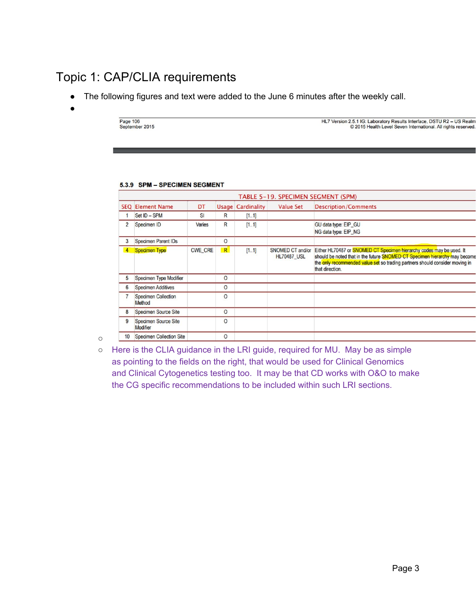# <span id="page-2-0"></span>Topic 1: CAP/CLIA requirements

- The following figures and text were added to the June 6 minutes after the weekly call.
- ●

Page 106 September 2015 HL7 Version 2.5.1 IG: Laboratory Results Interface, DSTU R2 - US Realm<br>
© 2015 Health Level Seven International. All rights reserved.

#### 5.3.9 SPM - SPECIMEN SEGMENT

|                  |                                         |                |              |                          |                                        | TABLE 5-19. SPECIMEN SEGMENT (SPM)                                                                                                                                                                                                                    |
|------------------|-----------------------------------------|----------------|--------------|--------------------------|----------------------------------------|-------------------------------------------------------------------------------------------------------------------------------------------------------------------------------------------------------------------------------------------------------|
|                  | <b>SEQ Element Name</b>                 | DT             |              | <b>Usage Cardinality</b> | <b>Value Set</b>                       | <b>Description/Comments</b>                                                                                                                                                                                                                           |
|                  | Set ID - SPM                            | <b>SI</b>      | $\mathsf{R}$ | [11]                     |                                        |                                                                                                                                                                                                                                                       |
| $\overline{2}$   | Specimen ID                             | Varies         | $\mathsf{R}$ | [11]                     |                                        | GU data type: EIP_GU<br>NG data type: EIP_NG                                                                                                                                                                                                          |
| 3                | <b>Specimen Parent IDs</b>              |                | $\circ$      |                          |                                        |                                                                                                                                                                                                                                                       |
|                  | <b>Specimen Type</b>                    | <b>CWE CRE</b> | R            | [11]                     | SNOMED CT and/or<br><b>HL70487_USL</b> | Either HL70487 or SNOMED CT Specimen hierarchy codes may be used. It<br>should be noted that in the future SNOMED CT Specimen hierarchy may become<br>the only recommended value set so trading partners should consider moving in<br>that direction. |
| 5                | Specimen Type Modifier                  |                | $\circ$      |                          |                                        |                                                                                                                                                                                                                                                       |
| 6                | <b>Specimen Additives</b>               |                | $\circ$      |                          |                                        |                                                                                                                                                                                                                                                       |
|                  | <b>Specimen Collection</b><br>Method    |                | $\circ$      |                          |                                        |                                                                                                                                                                                                                                                       |
| 8                | <b>Specimen Source Site</b>             |                | $\circ$      |                          |                                        |                                                                                                                                                                                                                                                       |
| 9                | <b>Specimen Source Site</b><br>Modifier |                | O            |                          |                                        |                                                                                                                                                                                                                                                       |
| 10 <sup>10</sup> | <b>Specimen Collection Site</b>         |                | $\circ$      |                          |                                        |                                                                                                                                                                                                                                                       |

 $\circ$ 

○ Here is the CLIA guidance in the LRI guide, required for MU. May be as simple as pointing to the fields on the right, that would be used for Clinical Genomics and Clinical Cytogenetics testing too. It may be that CD works with O&O to make the CG specific recommendations to be included within such LRI sections.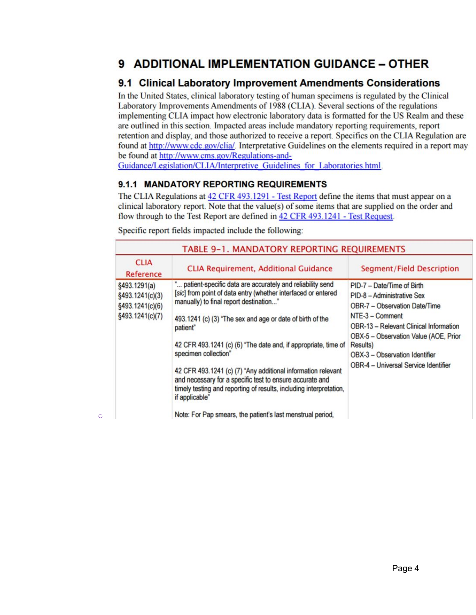## 9 ADDITIONAL IMPLEMENTATION GUIDANCE - OTHER

### 9.1 Clinical Laboratory Improvement Amendments Considerations

In the United States, clinical laboratory testing of human specimens is regulated by the Clinical Laboratory Improvements Amendments of 1988 (CLIA). Several sections of the regulations implementing CLIA impact how electronic laboratory data is formatted for the US Realm and these are outlined in this section. Impacted areas include mandatory reporting requirements, report retention and display, and those authorized to receive a report. Specifics on the CLIA Regulation are found at http://www.cdc.gov/clia/. Interpretative Guidelines on the elements required in a report may be found at http://www.cms.gov/Regulations-and-

Guidance/Legislation/CLIA/Interpretive Guidelines for Laboratories.html.

### 9.1.1 MANDATORY REPORTING REQUIREMENTS

The CLIA Regulations at 42 CFR 493.1291 - Test Report define the items that must appear on a clinical laboratory report. Note that the value(s) of some items that are supplied on the order and flow through to the Test Report are defined in 42 CFR 493.1241 - Test Request.

| TABLE 9-1. MANDATORY REPORTING REQUIREMENTS                           |                                                                                                                                                                                                                                                                                                                                                                                                                                                                                                                                                                                                                             |                                                                                                                                                                                                                                                                                                       |  |  |  |  |
|-----------------------------------------------------------------------|-----------------------------------------------------------------------------------------------------------------------------------------------------------------------------------------------------------------------------------------------------------------------------------------------------------------------------------------------------------------------------------------------------------------------------------------------------------------------------------------------------------------------------------------------------------------------------------------------------------------------------|-------------------------------------------------------------------------------------------------------------------------------------------------------------------------------------------------------------------------------------------------------------------------------------------------------|--|--|--|--|
| <b>CLIA</b><br>Reference                                              | <b>CLIA Requirement, Additional Guidance</b>                                                                                                                                                                                                                                                                                                                                                                                                                                                                                                                                                                                | <b>Segment/Field Description</b>                                                                                                                                                                                                                                                                      |  |  |  |  |
| §493.1291(a)<br>§493.1241(c)(3)<br>§493.1241(c)(6)<br>§493.1241(c)(7) | " patient-specific data are accurately and reliability send<br>[sic] from point of data entry (whether interfaced or entered<br>manually) to final report destination"<br>493.1241 (c) (3) "The sex and age or date of birth of the<br>patient"<br>42 CFR 493.1241 (c) (6) "The date and, if appropriate, time of<br>specimen collection"<br>42 CFR 493.1241 (c) (7) "Any additional information relevant<br>and necessary for a specific test to ensure accurate and<br>timely testing and reporting of results, including interpretation,<br>if applicable"<br>Note: For Pap smears, the patient's last menstrual period, | PID-7 - Date/Time of Birth<br>PID-8 - Administrative Sex<br>OBR-7 - Observation Date/Time<br>$NTE-3 - Comment$<br><b>OBR-13 - Relevant Clinical Information</b><br>OBX-5 - Observation Value (AOE, Prior<br>Results)<br>OBX-3 - Observation Identifier<br><b>OBR-4 - Universal Service Identifier</b> |  |  |  |  |

Specific report fields impacted include the following:

○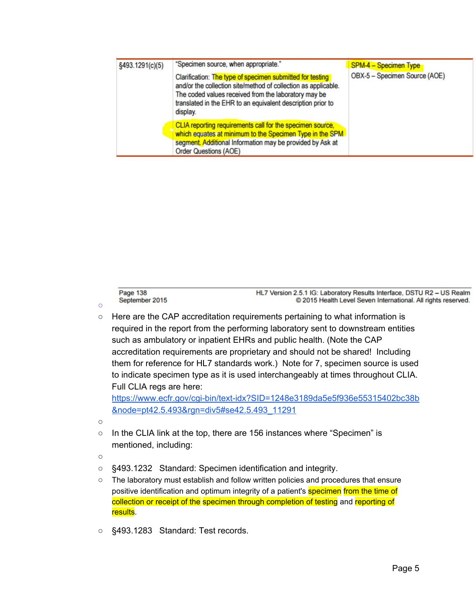| §493.1291(c)(5) | "Specimen source, when appropriate."                                                                                                                                                                                                                           | <b>SPM-4 - Specimen Type</b>  |  |
|-----------------|----------------------------------------------------------------------------------------------------------------------------------------------------------------------------------------------------------------------------------------------------------------|-------------------------------|--|
|                 | Clarification: The type of specimen submitted for testing<br>and/or the collection site/method of collection as applicable.<br>The coded values received from the laboratory may be<br>translated in the EHR to an equivalent description prior to<br>display. | OBX-5 - Specimen Source (AOE) |  |
|                 | CLIA reporting requirements call for the specimen source,<br>which equates at minimum to the Specimen Type in the SPM<br>segment. Additional Information may be provided by Ask at<br><b>Order Questions (AOE)</b>                                             |                               |  |

Page 138 September 2015

HL7 Version 2.5.1 IG: Laboratory Results Interface, DSTU R2 - US Realm © 2015 Health Level Seven International. All rights reserved.

○ Here are the CAP accreditation requirements pertaining to what information is required in the report from the performing laboratory sent to downstream entities such as ambulatory or inpatient EHRs and public health. (Note the CAP accreditation requirements are proprietary and should not be shared! Including them for reference for HL7 standards work.) Note for 7, specimen source is used to indicate specimen type as it is used interchangeably at times throughout CLIA. Full CLIA regs are here:

[https://www.ecfr.gov/cgi-bin/text-idx?SID=1248e3189da5e5f936e55315402bc38b](https://www.ecfr.gov/cgi-bin/text-idx?SID=1248e3189da5e5f936e55315402bc38b&node=pt42.5.493&rgn=div5#se42.5.493_11291) [&node=pt42.5.493&rgn=div5#se42.5.493\\_11291](https://www.ecfr.gov/cgi-bin/text-idx?SID=1248e3189da5e5f936e55315402bc38b&node=pt42.5.493&rgn=div5#se42.5.493_11291)

○

○

- In the CLIA link at the top, there are 156 instances where "Specimen" is mentioned, including:
- ○
- §493.1232 Standard: Specimen identification and integrity.
- The laboratory must establish and follow written policies and procedures that ensure positive identification and optimum integrity of a patient's specimen from the time of collection or receipt of the specimen through completion of testing and reporting of results.
- §493.1283 Standard: Test records.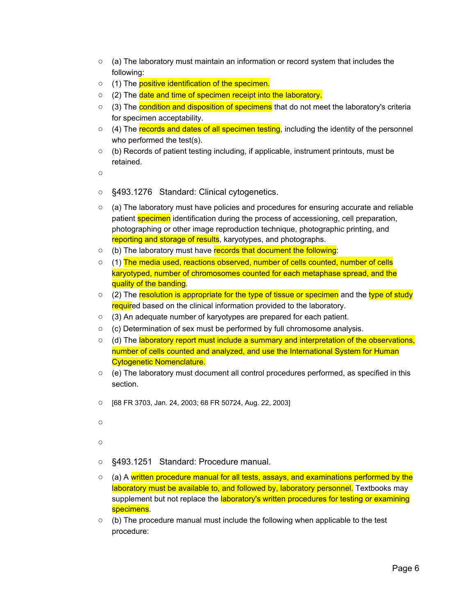- $\circ$  (a) The laboratory must maintain an information or record system that includes the following:
- (1) The positive identification of the specimen.
- (2) The date and time of specimen receipt into the laboratory.
- (3) The condition and disposition of specimens that do not meet the laboratory's criteria for specimen acceptability.
- (4) The records and dates of all specimen testing, including the identity of the personnel who performed the test(s).
- $\circ$  (b) Records of patient testing including, if applicable, instrument printouts, must be retained.

 $\Omega$ 

- §493.1276 Standard: Clinical cytogenetics.
- $\circ$  (a) The laboratory must have policies and procedures for ensuring accurate and reliable patient specimen identification during the process of accessioning, cell preparation, photographing or other image reproduction technique, photographic printing, and reporting and storage of results, karyotypes, and photographs.
- (b) The laboratory must have records that document the following:
- $\circ$  (1) The media used, reactions observed, number of cells counted, number of cells karyotyped, number of chromosomes counted for each metaphase spread, and the quality of the banding.
- (2) The resolution is appropriate for the type of tissue or specimen and the type of study required based on the clinical information provided to the laboratory.
- (3) An adequate number of karyotypes are prepared for each patient.
- (c) Determination of sex must be performed by full chromosome analysis.
- (d) The laboratory report must include a summary and interpretation of the observations, number of cells counted and analyzed, and use the International System for Human Cytogenetic Nomenclature.
- $\circ$  (e) The laboratory must document all control procedures performed, as specified in this section.
- [68 FR 3703, Jan. 24, 2003; 68 FR 50724, Aug. 22, 2003]
- $\Omega$

 $\Omega$ 

- §493.1251 Standard: Procedure manual.
- (a) A written procedure manual for all tests, assays, and examinations performed by the laboratory must be available to, and followed by, laboratory personnel. Textbooks may supplement but not replace the laboratory's written procedures for testing or examining specimens.
- $\circ$  (b) The procedure manual must include the following when applicable to the test procedure: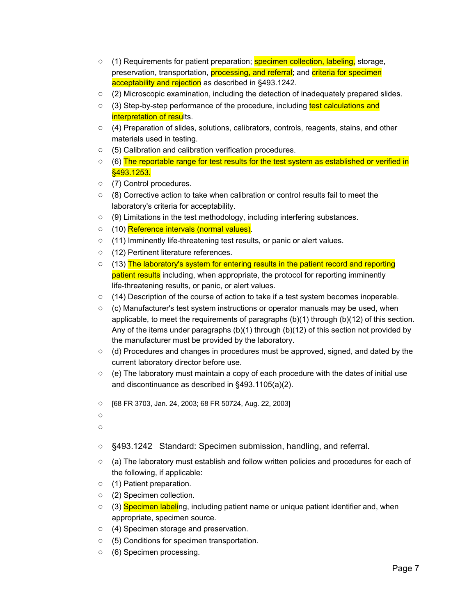- (1) Requirements for patient preparation; specimen collection, labeling, storage, preservation, transportation, *processing, and referral*; and *criteria for specimen* acceptability and rejection as described in §493.1242.
- (2) Microscopic examination, including the detection of inadequately prepared slides.
- (3) Step-by-step performance of the procedure, including test calculations and interpretation of results.
- (4) Preparation of slides, solutions, calibrators, controls, reagents, stains, and other materials used in testing.
- (5) Calibration and calibration verification procedures.
- (6) The reportable range for test results for the test system as established or verified in §493.1253.
- (7) Control procedures.
- (8) Corrective action to take when calibration or control results fail to meet the laboratory's criteria for acceptability.
- (9) Limitations in the test methodology, including interfering substances.
- (10) Reference intervals (normal values).
- (11) Imminently life-threatening test results, or panic or alert values.
- (12) Pertinent literature references.
- (13) The laboratory's system for entering results in the patient record and reporting patient results including, when appropriate, the protocol for reporting imminently life-threatening results, or panic, or alert values.
- (14) Description of the course of action to take if a test system becomes inoperable.
- $\circ$  (c) Manufacturer's test system instructions or operator manuals may be used, when applicable, to meet the requirements of paragraphs (b)(1) through (b)(12) of this section. Any of the items under paragraphs  $(b)(1)$  through  $(b)(12)$  of this section not provided by the manufacturer must be provided by the laboratory.
- $\circ$  (d) Procedures and changes in procedures must be approved, signed, and dated by the current laboratory director before use.
- $\circ$  (e) The laboratory must maintain a copy of each procedure with the dates of initial use and discontinuance as described in §493.1105(a)(2).
- [68 FR 3703, Jan. 24, 2003; 68 FR 50724, Aug. 22, 2003]
- ○
- $\Omega$
- §493.1242 Standard: Specimen submission, handling, and referral.
- (a) The laboratory must establish and follow written policies and procedures for each of the following, if applicable:
- (1) Patient preparation.
- (2) Specimen collection.
- (3) Specimen labeling, including patient name or unique patient identifier and, when appropriate, specimen source.
- (4) Specimen storage and preservation.
- (5) Conditions for specimen transportation.
- (6) Specimen processing.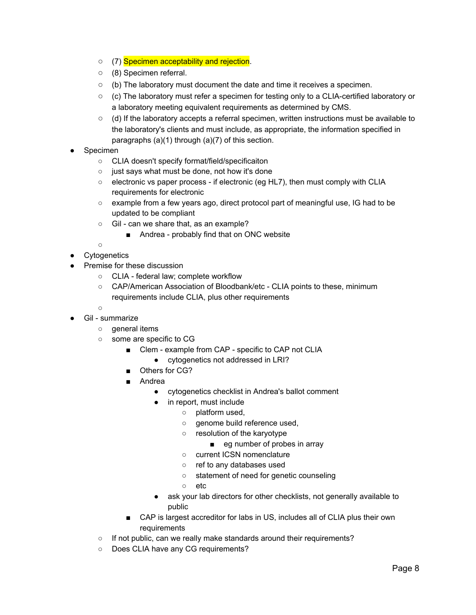- (7) Specimen acceptability and rejection.
- (8) Specimen referral.
- (b) The laboratory must document the date and time it receives a specimen.
- $\circ$  (c) The laboratory must refer a specimen for testing only to a CLIA-certified laboratory or a laboratory meeting equivalent requirements as determined by CMS.
- $\circ$  (d) If the laboratory accepts a referral specimen, written instructions must be available to the laboratory's clients and must include, as appropriate, the information specified in paragraphs (a)(1) through (a)(7) of this section.
- **Specimen** 
	- CLIA doesn't specify format/field/specificaiton
	- just says what must be done, not how it's done
	- $\circ$  electronic vs paper process if electronic (eg HL7), then must comply with CLIA requirements for electronic
	- $\circ$  example from a few years ago, direct protocol part of meaningful use, IG had to be updated to be compliant
	- Gil can we share that, as an example?
		- Andrea probably find that on ONC website

 $\circ$ 

- Cytogenetics
- Premise for these discussion
	- CLIA federal law; complete workflow
	- CAP/American Association of Bloodbank/etc CLIA points to these, minimum requirements include CLIA, plus other requirements

 $\circ$ 

- Gil summarize
	- general items
	- some are specific to CG
		- Clem example from CAP specific to CAP not CLIA
			- cytogenetics not addressed in LRI?
		- Others for CG?
		- Andrea
			- cytogenetics checklist in Andrea's ballot comment
			- in report, must include
				- platform used,
				- o genome build reference used,
				- resolution of the karyotype
					- eg number of probes in array
				- current ICSN nomenclature
				- ref to any databases used
				- statement of need for genetic counseling
				- etc
			- ask your lab directors for other checklists, not generally available to public
		- CAP is largest accreditor for labs in US, includes all of CLIA plus their own requirements
	- If not public, can we really make standards around their requirements?
	- Does CLIA have any CG requirements?